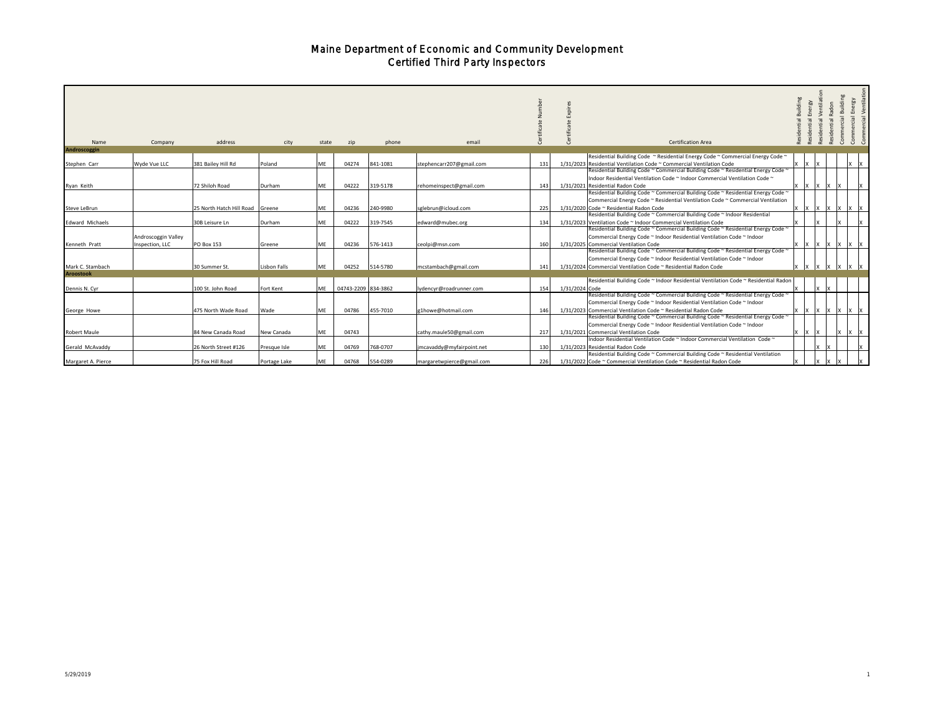| Name                   | Company                                | address                         | city         | state     | zip                 | phone    | email                     |     |                | <b>Certification Area</b>                                                                                                                                                                                                                  | suilding | Energy | Ventilat<br>Radon | Building<br>Commercia<br>dential | Energy<br>Commercial<br>ercial                                   |
|------------------------|----------------------------------------|---------------------------------|--------------|-----------|---------------------|----------|---------------------------|-----|----------------|--------------------------------------------------------------------------------------------------------------------------------------------------------------------------------------------------------------------------------------------|----------|--------|-------------------|----------------------------------|------------------------------------------------------------------|
| Androscoggin           |                                        |                                 |              |           |                     |          |                           |     |                |                                                                                                                                                                                                                                            |          |        |                   |                                  |                                                                  |
| Stephen Carr           | Wyde Vue LLC                           | 381 Bailey Hill Rd              | Poland       | ME        | 04274               | 841-1081 | stephencarr207@gmail.com  | 131 |                | Residential Building Code ~ Residential Energy Code ~ Commercial Energy Code ~<br>1/31/2023 Residential Ventilation Code ~ Commercial Ventilation Code<br>Residential Building Code ~ Commercial Building Code ~ Residential Energy Code ~ |          |        |                   |                                  |                                                                  |
| Ryan Keith             |                                        | 72 Shiloh Road                  | Durham       | ME        | 04222               | 319-5178 | rehomeinspect@gmail.com   | 143 |                | Indoor Residential Ventilation Code ~ Indoor Commercial Ventilation Code ~<br>1/31/2021 Residential Radon Code                                                                                                                             |          |        |                   |                                  |                                                                  |
| Steve LeBrun           |                                        | 25 North Hatch Hill Road Greene |              | <b>ME</b> | 04236               | 240-9980 | sglebrun@icloud.com       | 225 |                | Residential Building Code ~ Commercial Building Code ~ Residential Energy Code ~<br>Commercial Energy Code ~ Residential Ventilation Code ~ Commercial Ventilation<br>1/31/2020 Code ~ Residential Radon Code                              |          |        |                   |                                  |                                                                  |
|                        |                                        |                                 |              |           |                     |          |                           |     |                | Residential Building Code ~ Commercial Building Code ~ Indoor Residential                                                                                                                                                                  |          |        |                   |                                  |                                                                  |
| <b>Edward Michaels</b> |                                        | 30B Leisure Ln                  | Durham       | ME        | 04222               | 319-7545 | edward@mubec.org          | 134 |                | 1/31/2023 Ventilation Code ~ Indoor Commercial Ventilation Code                                                                                                                                                                            |          |        |                   |                                  |                                                                  |
| Kenneth Pratt          | Androscoggin Valley<br>Inspection, LLC | PO Box 153                      | Greene       | ME        | 04236               | 576-1413 | ceolpi@msn.com            | 160 |                | Residential Building Code ~ Commercial Building Code ~ Residential Energy Code ~<br>Commercial Energy Code ~ Indoor Residential Ventilation Code ~ Indoor<br>1/31/2025 Commercial Ventilation Code                                         |          |        | IX                |                                  |                                                                  |
| Mark C. Stambach       |                                        | 30 Summer St.                   | Lisbon Falls | ME        | 04252               | 514-5780 | mcstambach@gmail.com      | 141 |                | Residential Building Code ~ Commercial Building Code ~ Residential Energy Code ~<br>Commercial Energy Code ~ Indoor Residential Ventilation Code ~ Indoor<br>1/31/2024 Commercial Ventilation Code ~ Residential Radon Code                |          |        |                   |                                  |                                                                  |
| <b>Aroostook</b>       |                                        |                                 |              |           |                     |          |                           |     |                |                                                                                                                                                                                                                                            |          |        |                   |                                  |                                                                  |
| Dennis N. Cyr          |                                        | 100 St. John Road               | Fort Kent    | ME        | 04743-2209 834-3862 |          | lydencyr@roadrunner.com   | 154 | 1/31/2024 Code | Residential Building Code ~ Indoor Residential Ventilation Code ~ Residential Radon                                                                                                                                                        |          |        |                   |                                  |                                                                  |
| George Howe            |                                        | 475 North Wade Road             | Wade         | ME        | 04786               | 455-7010 | g1howe@hotmail.com        | 146 |                | Residential Building Code ~ Commercial Building Code ~ Residential Energy Code ~<br>Commercial Energy Code ~ Indoor Residential Ventilation Code ~ Indoor<br>1/31/2023 Commercial Ventilation Code ~ Residential Radon Code                |          |        |                   |                                  | $\mathbf{X}$ $\mathbf{X}$ $\mathbf{X}$ $\mathbf{X}$ $\mathbf{X}$ |
|                        |                                        |                                 |              |           |                     |          |                           |     |                | Residential Building Code ~ Commercial Building Code ~ Residential Energy Code ~<br>Commercial Energy Code ~ Indoor Residential Ventilation Code ~ Indoor                                                                                  |          |        |                   |                                  |                                                                  |
| Robert Maule           |                                        | 84 New Canada Road              | New Canada   | ME        | 04743               |          | cathy.maule50@gmail.com   | 217 |                | 1/31/2021 Commercial Ventilation Code                                                                                                                                                                                                      | X        | 1x     |                   |                                  |                                                                  |
| Gerald McAvaddy        |                                        | 26 North Street #126            | Presque Isle | ME        | 04769               | 768-0707 | jmcavaddy@myfairpoint.net | 130 |                | Indoor Residential Ventilation Code ~ Indoor Commercial Ventilation Code ~<br>1/31/2023 Residential Radon Code<br>Residential Building Code ~ Commercial Building Code ~ Residential Ventilation                                           |          |        |                   |                                  |                                                                  |
| Margaret A. Pierce     |                                        | 75 Fox Hill Road                | Portage Lake | MF        | 04768               | 554-0289 | margaretwpierce@gmail.com | 226 |                | 1/31/2022 Code ~ Commercial Ventilation Code ~ Residential Radon Code                                                                                                                                                                      |          |        |                   |                                  |                                                                  |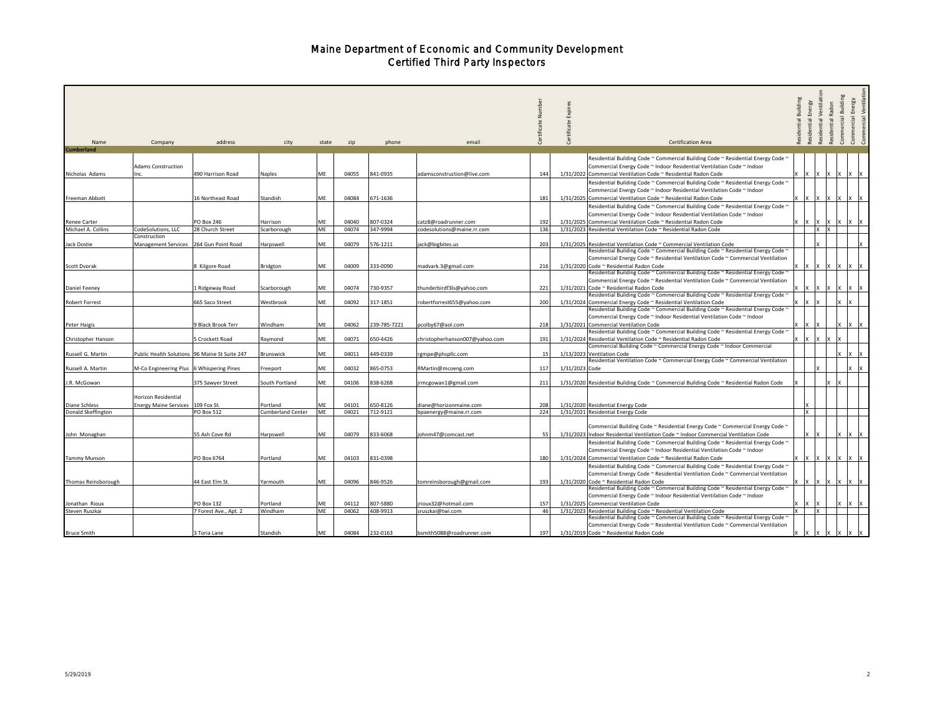|                     |                                          |                                               |                   |       |       |              |                                |     |                |                                                                                                                                                          | Building    |                    | Residential Ventilat | Commercial Building | Commercial Ventilati<br>Energy |
|---------------------|------------------------------------------|-----------------------------------------------|-------------------|-------|-------|--------------|--------------------------------|-----|----------------|----------------------------------------------------------------------------------------------------------------------------------------------------------|-------------|--------------------|----------------------|---------------------|--------------------------------|
|                     |                                          |                                               |                   |       |       |              |                                |     | Expir          |                                                                                                                                                          |             | Residential Energy | Radon                |                     |                                |
|                     |                                          |                                               |                   |       |       |              |                                | ž   |                |                                                                                                                                                          |             |                    |                      |                     |                                |
|                     |                                          |                                               |                   |       |       |              |                                |     |                |                                                                                                                                                          | Residential |                    | Residential          |                     | Commercial                     |
|                     |                                          |                                               |                   |       |       |              |                                |     | Certifi        |                                                                                                                                                          |             |                    |                      |                     |                                |
| Name                | Company                                  | address                                       | city              | state | zip   | phone        | email                          | උ   |                | <b>Certification Area</b>                                                                                                                                |             |                    |                      |                     |                                |
| <b>Cumberland</b>   |                                          |                                               |                   |       |       |              |                                |     |                |                                                                                                                                                          |             |                    |                      |                     |                                |
|                     |                                          |                                               |                   |       |       |              |                                |     |                | Residential Building Code ~ Commercial Building Code ~ Residential Energy Code ~                                                                         |             |                    |                      |                     |                                |
|                     | <b>Adams Construction</b>                |                                               |                   |       |       |              |                                |     |                | Commercial Energy Code ~ Indoor Residential Ventilation Code ~ Indoor                                                                                    |             |                    |                      |                     |                                |
| Nicholas Adams      |                                          | 490 Harrison Road                             | Naples            | ME    | 04055 | 841-0935     | adamsconstruction@live.com     | 144 |                | 1/31/2022 Commercial Ventilation Code ~ Residential Radon Code                                                                                           |             |                    |                      |                     |                                |
|                     |                                          |                                               |                   |       |       |              |                                |     |                | Residential Building Code ~ Commercial Building Code ~ Residential Energy Code ~                                                                         |             |                    |                      |                     |                                |
|                     |                                          |                                               |                   |       |       |              |                                |     |                | Commercial Energy Code ~ Indoor Residential Ventilation Code ~ Indoor                                                                                    |             |                    |                      |                     |                                |
| Freeman Abbott      |                                          | 16 Northeast Road                             | Standish          | ME    | 04084 | 671-1636     |                                | 181 |                | 1/31/2025 Commercial Ventilation Code ~ Residential Radon Code                                                                                           |             |                    | ×                    | ΙX                  |                                |
|                     |                                          |                                               |                   |       |       |              |                                |     |                | Residential Building Code ~ Commercial Building Code ~ Residential Energy Code ~                                                                         |             |                    |                      |                     |                                |
|                     |                                          |                                               |                   |       |       |              |                                |     |                | Commercial Energy Code ~ Indoor Residential Ventilation Code ~ Indoor                                                                                    |             |                    |                      |                     |                                |
| Renee Carter        |                                          | PO Box 246                                    | Harrison          | ME    | 04040 | 807-0324     | catz8@roadrunner.com           | 192 |                | 1/31/2025 Commercial Ventilation Code ~ Residential Radon Code                                                                                           |             |                    |                      |                     |                                |
| Michael A. Collins  | CodeSolutions, LLC                       | 28 Church Street                              | Scarborough       | ME    | 04074 | 347-9994     | codesolutions@maine.rr.com     | 136 |                | 1/31/2023 Residential Ventilation Code ~ Residential Radon Code                                                                                          |             |                    | lx<br>Ιx             |                     |                                |
|                     | Construction                             |                                               |                   |       |       |              |                                |     |                |                                                                                                                                                          |             |                    |                      |                     |                                |
| Jack Dostie         | Management Services 264 Gun Point Road   |                                               | Harpswell         | ME    | 04079 | 576-1211     | ack@bigbites.us                | 203 |                | 1/31/2025 Residential Ventilation Code ~ Commercial Ventilation Code<br>Residential Building Code ~ Commercial Building Code ~ Residential Energy Code ~ |             |                    |                      |                     |                                |
|                     |                                          |                                               |                   |       |       |              |                                |     |                | Commercial Energy Code ~ Residential Ventilation Code ~ Commercial Ventilation                                                                           |             |                    |                      |                     |                                |
| Scott Dvorak        |                                          | Kilgore Road                                  | Bridgton          | ME    | 04009 | 333-0090     | madvark.3@gmail.com            | 216 |                | 1/31/2020 Code ~ Residential Radon Code                                                                                                                  |             |                    |                      |                     |                                |
|                     |                                          |                                               |                   |       |       |              |                                |     |                | Residential Building Code ~ Commercial Building Code ~ Residential Energy Code '                                                                         |             |                    |                      |                     |                                |
|                     |                                          |                                               |                   |       |       |              |                                |     |                | Commercial Energy Code ~ Residential Ventilation Code ~ Commercial Ventilation                                                                           |             |                    |                      |                     |                                |
| Daniel Feeney       |                                          | Ridgeway Road                                 | Scarborough       | ME    | 04074 | 730-9357     | thunderbirdf3ls@yahoo.com      | 221 |                | 1/31/2021 Code ~ Residential Radon Code                                                                                                                  |             |                    |                      |                     |                                |
|                     |                                          |                                               |                   |       |       |              |                                |     |                | Residential Building Code ~ Commercial Building Code ~ Residential Energy Code ~                                                                         |             |                    |                      |                     |                                |
| Robert Forrest      |                                          | 665 Saco Street                               | Westbrook         | ME    | 04092 | 317-1851     | obertforrest655@yahoo.com      | 200 |                | 1/31/2024 Commercial Energy Code ~ Residential Ventilation Code                                                                                          |             |                    |                      |                     |                                |
|                     |                                          |                                               |                   |       |       |              |                                |     |                | Residential Building Code ~ Commercial Building Code ~ Residential Energy Code ~                                                                         |             |                    |                      |                     |                                |
|                     |                                          |                                               |                   |       |       |              |                                |     |                | Commercial Energy Code ~ Indoor Residential Ventilation Code ~ Indoor                                                                                    |             |                    |                      |                     |                                |
| Peter Haigis        |                                          | 9 Black Brook Terr                            | Windham           | ME    | 04062 | 239-785-7221 | pcolby67@aol.com               | 218 |                | 1/31/2021 Commercial Ventilation Code                                                                                                                    |             |                    |                      |                     |                                |
|                     |                                          |                                               |                   |       |       |              |                                |     |                | Residential Building Code ~ Commercial Building Code ~ Residential Energy Code ~                                                                         |             |                    |                      |                     |                                |
| Christopher Hanson  |                                          | Crockett Road                                 | Raymond           | ME    | 04071 | 650-4426     | christopherhanson007@yahoo.com | 191 |                | 1/31/2024 Residential Ventilation Code ~ Residential Radon Code                                                                                          |             |                    |                      |                     |                                |
| Russell G. Martin   |                                          | Public Health Solutions 96 Maine St Suite 247 | Brunswick         | ME    | 04011 | 449-0339     | gmpe@phspllc.com               | 15  |                | Commercial Building Code ~ Commercial Energy Code ~ Indoor Commercial<br>1/13/2023 Ventilation Code                                                      |             |                    |                      |                     |                                |
|                     |                                          |                                               |                   |       |       |              |                                |     |                | Residential Ventilation Code ~ Commercial Energy Code ~ Commercial Ventilation                                                                           |             |                    |                      |                     |                                |
| Russell A. Martin   | M-Co Engineering Plus 6 Whispering Pines |                                               | Freeport          | ME    | 04032 | 865-0753     | RMartin@mcoeng.com             | 117 | 1/31/2023 Code |                                                                                                                                                          |             |                    |                      |                     |                                |
|                     |                                          |                                               |                   |       |       |              |                                |     |                |                                                                                                                                                          |             |                    |                      |                     |                                |
| J.R. McGowan        |                                          | 375 Sawyer Street                             | South Portland    | ME    | 04106 | 838-6268     | rmcgowan1@gmail.com            | 211 |                | 1/31/2020 Residential Building Code ~ Commercial Building Code ~ Residential Radon Code                                                                  |             |                    |                      |                     |                                |
|                     |                                          |                                               |                   |       |       |              |                                |     |                |                                                                                                                                                          |             |                    |                      |                     |                                |
|                     | Horizon Residential                      |                                               |                   |       |       |              |                                |     |                |                                                                                                                                                          |             |                    |                      |                     |                                |
| Diane Schless       | <b>Energy Maine Services</b>             | 109 Fox St.                                   | Portland          | ME    | 04101 | 650-8126     | diane@horizonmaine.com         | 208 |                | 1/31/2020 Residential Energy Code                                                                                                                        |             |                    |                      |                     |                                |
| Donald Skeffington  |                                          | PO Box 512                                    | Cumberland Center | ME    | 04021 | 712-9121     | bpaenergy@maine.rr.com         | 224 |                | 1/31/2021 Residential Energy Code                                                                                                                        |             |                    |                      |                     |                                |
|                     |                                          |                                               |                   |       |       |              |                                |     |                |                                                                                                                                                          |             |                    |                      |                     |                                |
|                     |                                          |                                               |                   |       |       |              |                                |     |                | Commercial Building Code ~ Residential Energy Code ~ Commercial Energy Code ~                                                                            |             |                    |                      |                     |                                |
| John Monaghan       |                                          | 55 Ash Cove Rd                                | Harpswell         | ME    | 04079 | 833-6068     | ohnm47@comcast.net             | 55  |                | 1/31/2023 Indoor Residential Ventilation Code ~ Indoor Commercial Ventilation Code                                                                       |             |                    |                      |                     |                                |
|                     |                                          |                                               |                   |       |       |              |                                |     |                | Residential Building Code ~ Commercial Building Code ~ Residential Energy Code ~                                                                         |             |                    |                      |                     |                                |
|                     |                                          | PO Box 6764                                   | Portland          | ME    | 04103 | 831-0398     |                                | 180 |                | Commercial Energy Code ~ Indoor Residential Ventilation Code ~ Indoor<br>1/31/2024 Commercial Ventilation Code ~ Residential Radon Code                  |             |                    |                      |                     |                                |
| Tammy Munson        |                                          |                                               |                   |       |       |              |                                |     |                |                                                                                                                                                          |             |                    |                      |                     |                                |
|                     |                                          |                                               |                   |       |       |              |                                |     |                | Residential Building Code ~ Commercial Building Code ~ Residential Energy Code ~                                                                         |             |                    |                      |                     |                                |
|                     |                                          |                                               |                   | ME    |       |              |                                |     |                | Commercial Energy Code ~ Residential Ventilation Code ~ Commercial Ventilation<br>1/31/2020 Code ~ Residential Radon Code                                |             |                    |                      |                     |                                |
| Thomas Reinsborough |                                          | 44 East Elm St.                               | Yarmouth          |       | 04096 | 846-9526     | tomreinsborough@gmail.com      | 193 |                | Residential Building Code ~ Commercial Building Code ~ Residential Energy Code ~                                                                         |             |                    |                      |                     |                                |
|                     |                                          |                                               |                   |       |       |              |                                |     |                | Commercial Energy Code ~ Indoor Residential Ventilation Code ~ Indoor                                                                                    |             |                    |                      |                     |                                |
| Jonathan Rioux      |                                          | PO Box 132                                    | Portland          | ME    | 04112 | 807-5880     | rioux32@hotmail.com            | 157 |                | 1/31/2025 Commercial Ventilation Code                                                                                                                    |             |                    |                      |                     |                                |
| Steven Ruszkai      |                                          | 7 Forest Ave., Apt. 2                         | Windham           | ME    | 04062 | 408-9913     | sruszkai@twi.com               | 46  |                | 1/31/2023 Residential Building Code ~ Residential Ventilation Code                                                                                       |             |                    | $\mathsf{x}$         |                     |                                |
|                     |                                          |                                               |                   |       |       |              |                                |     |                | Residential Building Code ~ Commercial Building Code ~ Residential Energy Code ~                                                                         |             |                    |                      |                     |                                |
|                     |                                          |                                               |                   |       |       |              |                                |     |                | Commercial Energy Code ~ Residential Ventilation Code ~ Commercial Ventilation                                                                           |             |                    |                      |                     |                                |
| <b>Bruce Smith</b>  |                                          | 3 Toria Lane                                  | Standish          | ME    | 04084 | 232-0163     | bsmith5088@roadrunner.com      | 197 |                | 1/31/2019 Code ~ Residential Radon Code                                                                                                                  |             |                    |                      |                     |                                |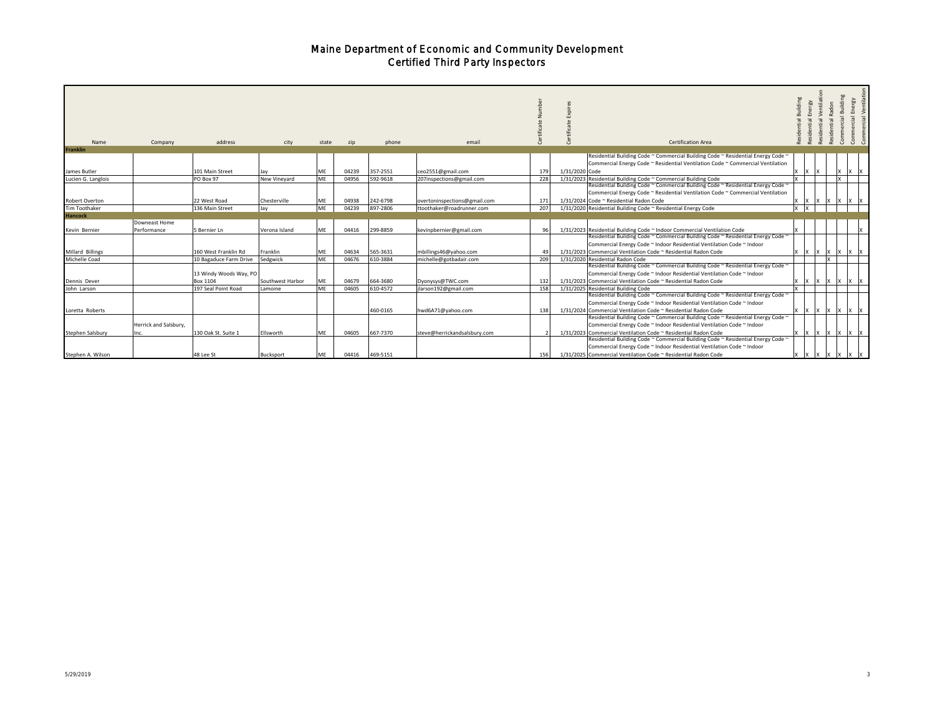| Name               | Company                       | address                            | city             | state     | zip   | phone    | email                        |     | Building<br>Building<br>Energy<br>Ventilat<br>Energy<br>idon<br>mercial <sup>y</sup><br>Commercial<br>Commercial<br>ential<br><b>Certification Area</b>                                                                                                                    |
|--------------------|-------------------------------|------------------------------------|------------------|-----------|-------|----------|------------------------------|-----|----------------------------------------------------------------------------------------------------------------------------------------------------------------------------------------------------------------------------------------------------------------------------|
| <b>Franklin</b>    |                               |                                    |                  |           |       |          |                              |     |                                                                                                                                                                                                                                                                            |
| James Butler       |                               | 101 Main Street                    | Jav              | ME        | 04239 | 357-2551 | ceo2551@gmail.com            | 179 | Residential Building Code ~ Commercial Building Code ~ Residential Energy Code ~<br>Commercial Energy Code ~ Residential Ventilation Code ~ Commercial Ventilation<br>1/31/2020 Code<br>1X<br>IX.                                                                          |
| Lucien G. Langlois |                               | PO Box 97                          | New Vineyard     | ME        | 04956 | 592-9618 | 207inspections@gmail.com     | 228 | 1/31/2023 Residential Building Code ~ Commercial Building Code                                                                                                                                                                                                             |
| Robert Overton     |                               | 22 West Road                       | Chesterville     | ME        | 04938 | 242-6798 | overtoninspections@gmail.com | 171 | Residential Building Code ~ Commercial Building Code ~ Residential Energy Code ~<br>Commercial Energy Code ~ Residential Ventilation Code ~ Commercial Ventilation<br>1/31/2024 Code ~ Residential Radon Code<br>$ X $ $ X $<br><b>IX IX</b>                               |
| Tim Toothaker      |                               | 136 Main Street                    | Jay              | ME        | 04239 | 897-2806 | ttoothaker@roadrunner.com    | 207 | 1/31/2020 Residential Building Code ~ Residential Energy Code                                                                                                                                                                                                              |
| <b>Hancock</b>     |                               |                                    |                  |           |       |          |                              |     |                                                                                                                                                                                                                                                                            |
| Kevin Bernier      | Downeast Home<br>Performance  | 5 Bernier Ln                       | Verona Island    | ME        | 04416 | 299-8859 | kevinpbernier@gmail.com      | 96  | 1/31/2023 Residential Building Code ~ Indoor Commercial Ventilation Code                                                                                                                                                                                                   |
| Millard Billings   |                               | 160 West Franklin Rd               | Franklin         | ME        | 04634 | 565-3631 | mbillings46@yahoo.com        | 49  | Residential Building Code ~ Commercial Building Code ~ Residential Energy Code ~<br>Commercial Energy Code ~ Indoor Residential Ventilation Code ~ Indoor<br>1/31/2023 Commercial Ventilation Code ~ Residential Radon Code<br>1X<br><b>IX</b><br><b>X</b><br><b>IX IX</b> |
| Michelle Coad      |                               | 10 Bagaduce Farm Drive             | Sedgwick         | ME        | 04676 | 610-3884 | michelle@gotbadair.com       | 209 | 1/31/2020 Residential Radon Code                                                                                                                                                                                                                                           |
| Dennis Dever       |                               | 13 Windy Woods Way, PO<br>Box 1104 | Southwest Harbor | МE        | 04679 | 664-3680 | Dyonysys@TWC.com             | 132 | Residential Building Code ~ Commercial Building Code ~ Residential Energy Code ~<br>Commercial Energy Code ~ Indoor Residential Ventilation Code ~ Indoor<br>1/31/2023 Commercial Ventilation Code ~ Residential Radon Code<br>IX<br>$ X $ $ X $ $ X $ $ X $               |
| John Larson        |                               | 197 Seal Point Road                | Lamoine          | ME        | 04605 | 610-4572 | jlarson192@gmail.com         | 158 | 1/31/2025 Residential Building Code                                                                                                                                                                                                                                        |
| Loretta Roberts    |                               |                                    |                  |           |       | 460-0165 | hwd6A71@yahoo.com            | 138 | Residential Building Code ~ Commercial Building Code ~ Residential Energy Code ~<br>Commercial Energy Code ~ Indoor Residential Ventilation Code ~ Indoor<br>1/31/2024 Commercial Ventilation Code ~ Residential Radon Code<br>IX.<br>IX.<br>IX IX                         |
| Stephen Salsbury   | Herrick and Salsbury,<br>Inc. | 130 Oak St. Suite 1                | Ellsworth        | <b>ME</b> | 04605 | 667-7370 | steve@herrickandsalsbury.com |     | Residential Building Code ~ Commercial Building Code ~ Residential Energy Code ~<br>Commercial Energy Code ~ Indoor Residential Ventilation Code ~ Indoor<br>1/31/2023 Commercial Ventilation Code ~ Residential Radon Code<br>IX IX IX<br>$\mathsf{I} \mathsf{X}$         |
| Stephen A. Wilson  |                               | 48 Lee St                          | Bucksport        | MF        | 04416 | 469-5151 |                              | 156 | Residential Building Code ~ Commercial Building Code ~ Residential Energy Code ~<br>Commercial Energy Code ~ Indoor Residential Ventilation Code ~ Indoor<br>1/31/2025 Commercial Ventilation Code ~ Residential Radon Code                                                |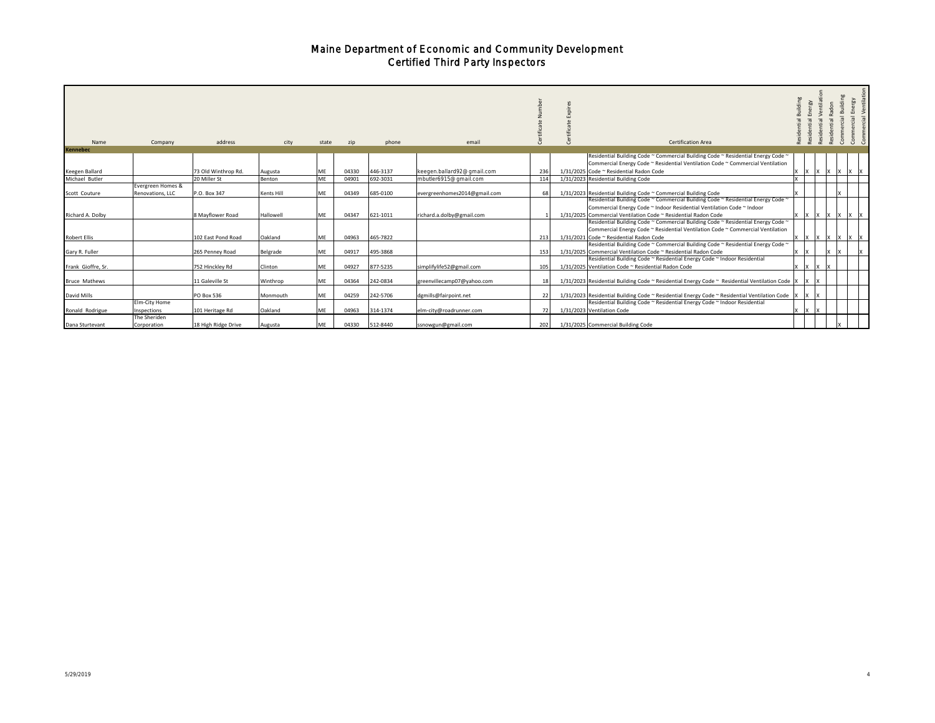| Name                 | Company                      | address             | city       | state | zip   | phone    | email                        |     | <b>Certification Area</b>                                                                                                                                                                                                   | Buildin<br>sidential                                                                                            | $\overline{a}$ |
|----------------------|------------------------------|---------------------|------------|-------|-------|----------|------------------------------|-----|-----------------------------------------------------------------------------------------------------------------------------------------------------------------------------------------------------------------------------|-----------------------------------------------------------------------------------------------------------------|----------------|
| <b>Kennebec</b>      |                              |                     |            |       |       |          |                              |     | Residential Building Code ~ Commercial Building Code ~ Residential Energy Code ~                                                                                                                                            |                                                                                                                 |                |
|                      |                              |                     |            |       |       |          |                              |     | Commercial Energy Code ~ Residential Ventilation Code ~ Commercial Ventilation                                                                                                                                              |                                                                                                                 |                |
| Keegen Ballard       |                              | 73 Old Winthrop Rd. | Augusta    | ME.   | 04330 | 446-3137 | keegen.ballard92@gmail.com   | 236 | 1/31/2025 Code ~ Residential Radon Code<br>$ X $ $ X $<br>ΙX                                                                                                                                                                |                                                                                                                 |                |
| Michael Butler       |                              | 20 Miller St        | Benton     | ME    | 04901 | 692-3031 | mbutler6915@gmail.com        | 114 | 1/31/2023 Residential Building Code                                                                                                                                                                                         |                                                                                                                 |                |
|                      | Evergreen Homes &            |                     |            |       |       |          |                              |     |                                                                                                                                                                                                                             |                                                                                                                 |                |
| Scott Couture        | Renovations, LLC             | P.O. Box 347        | Kents Hill | ME    | 04349 | 685-0100 | evergreenhomes2014@gmail.com | 68  | 1/31/2023 Residential Building Code ~ Commercial Building Code                                                                                                                                                              |                                                                                                                 |                |
| Richard A. Dolby     |                              | 8 Mayflower Road    | Hallowell  | ME    | 04347 | 621-1011 | richard.a.dolby@gmail.com    |     | Residential Building Code ~ Commercial Building Code ~ Residential Energy Code ~<br>Commercial Energy Code ~ Indoor Residential Ventilation Code ~ Indoor<br>1/31/2025 Commercial Ventilation Code ~ Residential Radon Code | $\mathsf{I} \mathsf{X} \mathsf{I} \mathsf{X} \mathsf{I} \mathsf{X} \mathsf{I} \mathsf{X} \mathsf{I} \mathsf{X}$ |                |
| <b>Robert Ellis</b>  |                              | 102 East Pond Road  | Oakland    | ME    | 04963 | 465-7822 |                              | 213 | Residential Building Code ~ Commercial Building Code ~ Residential Energy Code ~<br>Commercial Energy Code ~ Residential Ventilation Code ~ Commercial Ventilation<br>1/31/2021 Code ~ Residential Radon Code               | IX                                                                                                              |                |
| Gary R. Fuller       |                              | 265 Penney Road     | Belgrade   | ME    | 04917 | 495-3868 |                              | 153 | Residential Building Code ~ Commercial Building Code ~ Residential Energy Code ~<br>1/31/2025 Commercial Ventilation Code ~ Residential Radon Code                                                                          |                                                                                                                 |                |
| Frank Gioffre, Sr.   |                              | 752 Hinckley Rd     | Clinton    | ME    | 04927 | 877-5235 | simplifylife52@gmail.com     | 105 | Residential Building Code ~ Residential Energy Code ~ Indoor Residential<br>1/31/2025 Ventilation Code ~ Residential Radon Code                                                                                             |                                                                                                                 |                |
| <b>Bruce Mathews</b> |                              | 11 Galeville St     | Winthrop   | ME    | 04364 | 242-0834 | greenvillecamp07@yahoo.com   | 18  | 1/31/2023 Residential Building Code ~ Residential Energy Code ~ Residential Ventilation Code  X  X                                                                                                                          |                                                                                                                 |                |
| David Mills          |                              | <b>PO Box 536</b>   | Monmouth   | ME    | 04259 | 242-5706 | dgmills@fairpoint.net        | 22  | 1/31/2023 Residential Building Code ~ Residential Energy Code ~ Residential Ventilation Code   X                                                                                                                            |                                                                                                                 |                |
| Ronald Rodrigue      | Elm-City Home<br>Inspections | 101 Heritage Rd     | Oakland    | ME    | 04963 | 314-1374 | elm-city@roadrunner.com      | 72  | Residential Building Code ~ Residential Energy Code ~ Indoor Residential<br>1/31/2023 Ventilation Code                                                                                                                      |                                                                                                                 |                |
| Dana Sturtevant      | The Sheriden<br>Corporation  | 18 High Ridge Drive | Augusta    | ME    | 04330 | 512-8440 | ssnowgun@gmail.com           | 202 | 1/31/2025 Commercial Building Code                                                                                                                                                                                          |                                                                                                                 |                |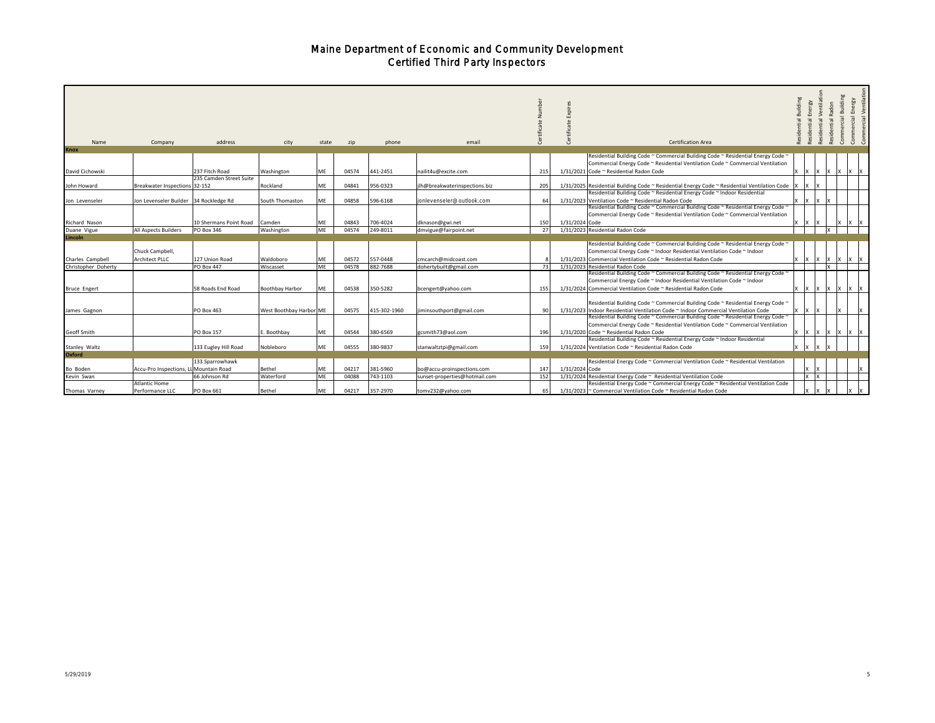| Name<br><b>Knox</b>     | Company                                | address                 | city                    | state | zip   | phone        | email                         |     | <b>Certification Area</b>                                                                                                                                              | Building<br>Energy<br>sidential | Ventila<br>sidential | Building<br>Radon<br>Commercial<br>sidential | Commercial Ventilatio<br>Energy<br>Commercial |
|-------------------------|----------------------------------------|-------------------------|-------------------------|-------|-------|--------------|-------------------------------|-----|------------------------------------------------------------------------------------------------------------------------------------------------------------------------|---------------------------------|----------------------|----------------------------------------------|-----------------------------------------------|
|                         |                                        |                         |                         |       |       |              |                               |     | Residential Building Code ~ Commercial Building Code ~ Residential Energy Code ~                                                                                       |                                 |                      |                                              |                                               |
| David Cichowski         |                                        | 237 Fitch Road          | Washington              | ME    | 04574 | 441-2451     | nailit4u@excite.com           | 215 | Commercial Energy Code ~ Residential Ventilation Code ~ Commercial Ventilation<br>1/31/2021 Code ~ Residential Radon Code                                              |                                 |                      |                                              |                                               |
|                         |                                        | 235 Camden Street Suite |                         |       |       |              |                               |     |                                                                                                                                                                        |                                 |                      |                                              |                                               |
| John Howard             | Breakwater Inspections 32-152          |                         | Rockland                | ME    | 04841 | 956-0323     | ilh@breakwaterinspections.biz | 205 | 1/31/2025 Residential Building Code ~ Residential Energy Code ~ Residential Ventilation Code                                                                           |                                 |                      |                                              |                                               |
|                         |                                        |                         |                         |       |       |              |                               |     | Residential Building Code ~ Residential Energy Code ~ Indoor Residential                                                                                               |                                 |                      |                                              |                                               |
| Jon Levenseler          | Jon Levenseler Builder 34 Rockledge Rd |                         | South Thomaston         | ME    | 04858 | 596-6168     | jonlevenseler@outlook.com     | 64  | 1/31/2023 Ventilation Code ~ Residential Radon Code                                                                                                                    | l x                             | 1x                   |                                              |                                               |
|                         |                                        |                         |                         |       |       |              |                               |     | Residential Building Code ~ Commercial Building Code ~ Residential Energy Code ~                                                                                       |                                 |                      |                                              |                                               |
|                         |                                        |                         |                         |       |       |              |                               |     | Commercial Energy Code ~ Residential Ventilation Code ~ Commercial Ventilation                                                                                         |                                 |                      |                                              |                                               |
| Richard Nason           |                                        | 10 Shermans Point Road  | Camden                  | MF    | 04843 | 706-4024     | dknason@gwi.net               | 150 | 1/31/2024 Code                                                                                                                                                         |                                 |                      |                                              |                                               |
| Duane Vigue             | All Aspects Builders                   | PO Box 346              | Washington              | ME    | 04574 | 249-8011     | dmvigue@fairpoint.net         | 27  | 1/31/2023 Residential Radon Code                                                                                                                                       |                                 | Ιx                   |                                              |                                               |
| Lincoln                 |                                        |                         |                         |       |       |              |                               |     | Residential Building Code ~ Commercial Building Code ~ Residential Energy Code ~                                                                                       |                                 |                      |                                              |                                               |
|                         | Chuck Campbell,                        |                         |                         |       |       |              |                               |     | Commercial Energy Code ~ Indoor Residential Ventilation Code ~ Indoor                                                                                                  |                                 |                      |                                              |                                               |
| Charles Campbell        | <b>Architect PLLC</b>                  | 127 Union Road          | Waldoboro               | MF    | 04572 | 557-0448     | cmcarch@midcoast.com          |     | 1/31/2023 Commercial Ventilation Code ~ Residential Radon Code                                                                                                         |                                 | Ιx                   | ΙX                                           |                                               |
| Christopher Doherty     |                                        | PO Box 447              | Wiscasset               | ME    | 04578 | 882-7688     | dohertybuilt@gmail.com        | 73  | 1/31/2023 Residential Radon Code                                                                                                                                       |                                 | $\mathbf{x}$         |                                              |                                               |
|                         |                                        |                         |                         |       |       |              |                               |     | Residential Building Code ~ Commercial Building Code ~ Residential Energy Code ~                                                                                       |                                 |                      |                                              |                                               |
|                         |                                        |                         |                         |       |       |              |                               |     | Commercial Energy Code ~ Indoor Residential Ventilation Code ~ Indoor                                                                                                  |                                 |                      |                                              |                                               |
| <b>Bruce Engert</b>     |                                        | 58 Roads End Road       | Boothbay Harbor         | ME    | 04538 | 350-5282     | bcengert@yahoo.com            | 155 | 1/31/2024 Commercial Ventilation Code ~ Residential Radon Code<br>x                                                                                                    | l X                             | Ιx<br>l x            | ΙX                                           |                                               |
| James Gagnon            |                                        | PO Box 463              | West Boothbay Harbor ME |       | 04575 | 415-302-1960 | iminsouthport@gmail.com       | 90  | Residential Building Code ~ Commercial Building Code ~ Residential Energy Code ~<br>1/31/2023 Indoor Residential Ventilation Code ~ Indoor Commercial Ventilation Code | 1x                              |                      |                                              |                                               |
|                         |                                        |                         |                         |       |       |              |                               |     | Residential Building Code ~ Commercial Building Code ~ Residential Energy Code ~<br>Commercial Energy Code ~ Residential Ventilation Code ~ Commercial Ventilation     |                                 |                      |                                              |                                               |
| Geoff Smith             |                                        | <b>PO Box 157</b>       | E. Boothbay             | ME    | 04544 | 380-6569     | zcsmith73@aol.com             | 196 | 1/31/2020 Code ~ Residential Radon Code                                                                                                                                |                                 | IX                   |                                              |                                               |
|                         |                                        |                         |                         | ME    | 04555 |              |                               |     | Residential Building Code ~ Residential Energy Code ~ Indoor Residential                                                                                               |                                 |                      |                                              |                                               |
| Stanley Waltz<br>Oxford |                                        | 133 Eugley Hill Road    | Nobleboro               |       |       | 380-9837     | stanwaltztpi@gmail.com        | 159 | 1/31/2024 Ventilation Code ~ Residential Radon Code                                                                                                                    |                                 |                      |                                              |                                               |
|                         |                                        | 133 Sparrowhawk         |                         |       |       |              |                               |     | Residential Energy Code ~ Commercial Ventilation Code ~ Residential Ventilation                                                                                        |                                 |                      |                                              |                                               |
| Bo Boden                | Accu-Pro Inspections, LL Mountain Road |                         | Bethel                  | MF    | 04217 | 381-5960     | bo@accu-proinspections.com    | 147 | 1/31/2024 Code                                                                                                                                                         |                                 |                      |                                              |                                               |
| Kevin Swan              |                                        | 66 Johnson Rd           | Waterford               | ME    | 04088 | 743-1103     | sunset-properties@hotmail.com | 152 | 1/31/2024 Residential Energy Code ~ Residential Ventilation Code                                                                                                       | <b>x</b>                        |                      |                                              |                                               |
|                         | <b>Atlantic Home</b>                   |                         |                         |       |       |              |                               |     | Residential Energy Code ~ Commercial Energy Code ~ Residential Ventilation Code                                                                                        |                                 |                      |                                              |                                               |
| Thomas Varney           | Performance LLC                        | PO Box 661              | Bethel                  | MF    | 04217 | 357-2970     | tomv232@yahoo.com             | 65  | 1/31/2023 ~ Commercial Ventilation Code ~ Residential Radon Code                                                                                                       |                                 |                      |                                              |                                               |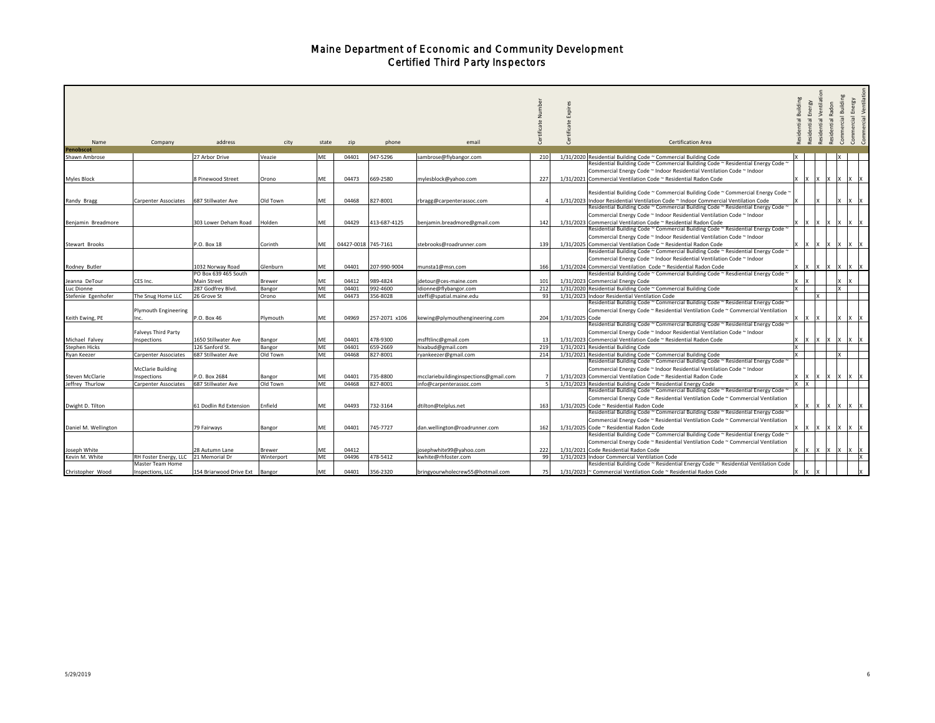|                                 |                                           |                                          |                    |           |                     |                      |                                       |                  | Expi<br>으      |                                                                                                                                    | Building     | Energy<br>Residential | Ventilat<br>Radon<br>Residential | Commercial Building | rcial Ventilatio<br>cial Energy |
|---------------------------------|-------------------------------------------|------------------------------------------|--------------------|-----------|---------------------|----------------------|---------------------------------------|------------------|----------------|------------------------------------------------------------------------------------------------------------------------------------|--------------|-----------------------|----------------------------------|---------------------|---------------------------------|
|                                 |                                           |                                          |                    |           |                     |                      |                                       |                  |                |                                                                                                                                    |              |                       | Residential                      |                     | Commer                          |
|                                 |                                           |                                          |                    |           |                     |                      |                                       |                  |                |                                                                                                                                    |              |                       |                                  |                     |                                 |
| Name<br>Penobscot               | Company                                   | address                                  | city               | state     | zip                 | phone                | email                                 |                  |                | Certification Area                                                                                                                 |              |                       |                                  |                     |                                 |
| Shawn Ambrose                   |                                           | 27 Arbor Drive                           | Veazie             | ME        | 04401               | 947-5296             | sambrose@flybangor.com                | 210              |                | 1/31/2020 Residential Building Code ~ Commercial Building Code                                                                     | $\mathsf{x}$ |                       |                                  | lχ                  |                                 |
|                                 |                                           |                                          |                    |           |                     |                      |                                       |                  |                | Residential Building Code ~ Commercial Building Code ~ Residential Energy Code *                                                   |              |                       |                                  |                     |                                 |
|                                 |                                           |                                          |                    |           |                     |                      |                                       |                  |                | Commercial Energy Code ~ Indoor Residential Ventilation Code ~ Indoor                                                              |              |                       |                                  |                     |                                 |
|                                 |                                           |                                          |                    | <b>ME</b> |                     | 669-2580             |                                       |                  |                |                                                                                                                                    |              |                       |                                  |                     |                                 |
| Myles Block                     |                                           | 8 Pinewood Street                        | Orono              |           | 04473               |                      | mylesblock@yahoo.com                  | 227              |                | 1/31/2021 Commercial Ventilation Code ~ Residential Radon Code                                                                     |              |                       |                                  |                     |                                 |
|                                 |                                           |                                          |                    |           |                     |                      |                                       |                  |                | Residential Building Code ~ Commercial Building Code ~ Commercial Energy Code *                                                    |              |                       |                                  |                     |                                 |
| Randy Bragg                     | <b>Carpenter Associates</b>               | 687 Stillwater Ave                       | Old Town           | ME        | 04468               | 827-8001             | rbragg@carpenterassoc.com             |                  |                | 1/31/2023 Indoor Residential Ventilation Code ~ Indoor Commercial Ventilation Code                                                 |              |                       |                                  |                     |                                 |
|                                 |                                           |                                          |                    |           |                     |                      |                                       |                  |                | Residential Building Code ~ Commercial Building Code ~ Residential Energy Code ~                                                   |              |                       |                                  |                     |                                 |
|                                 |                                           |                                          |                    |           |                     |                      |                                       |                  |                | Commercial Energy Code ~ Indoor Residential Ventilation Code ~ Indoor                                                              |              |                       |                                  |                     |                                 |
| Benjamin Breadmore              |                                           | 303 Lower Deham Road                     | Holden             | ME        | 04429               | 413-687-4125         | benjamin.breadmore@gmail.com          | 142              |                | 1/31/2023 Commercial Ventilation Code ~ Residential Radon Code                                                                     |              |                       |                                  |                     |                                 |
|                                 |                                           |                                          |                    |           |                     |                      |                                       |                  |                | Residential Building Code ~ Commercial Building Code ~ Residential Energy Code ~                                                   |              |                       |                                  |                     |                                 |
|                                 |                                           |                                          |                    |           |                     |                      |                                       |                  |                | Commercial Energy Code ~ Indoor Residential Ventilation Code ~ Indoor                                                              |              |                       |                                  |                     |                                 |
| Stewart Brooks                  |                                           | P.O. Box 18                              | Corinth            | <b>ME</b> | 04427-0018 745-7161 |                      | stebrooks@roadrunner.com              | 139              |                | 1/31/2025 Commercial Ventilation Code ~ Residential Radon Code                                                                     |              |                       |                                  |                     |                                 |
|                                 |                                           |                                          |                    |           |                     |                      |                                       |                  |                | Residential Building Code ~ Commercial Building Code ~ Residential Energy Code ~                                                   |              |                       |                                  |                     |                                 |
|                                 |                                           |                                          |                    |           |                     |                      |                                       |                  |                | Commercial Energy Code ~ Indoor Residential Ventilation Code ~ Indoor                                                              |              |                       |                                  |                     |                                 |
|                                 |                                           |                                          |                    |           | 04401               | 207-990-9004         |                                       |                  |                | 1/31/2024 Commercial Ventilation Code ~ Residential Radon Code                                                                     |              |                       |                                  |                     |                                 |
| Rodney Butler                   |                                           | 1032 Norway Road<br>PO Box 639 465 South | Glenburn           | ME        |                     |                      | munsta1@msn.com                       | 166              |                |                                                                                                                                    |              |                       | $X$ $X$ $X$                      | X <br>IX.           |                                 |
|                                 |                                           | Main Street                              |                    |           | 04412               |                      |                                       |                  |                | Residential Building Code ~ Commercial Building Code ~ Resdiential Energy Code ~                                                   |              |                       |                                  |                     |                                 |
| Jeanna DeTour                   | CES Inc.                                  |                                          | Brewer             | ME<br>ME  |                     | 989-4824             | idetour@ces-maine.com                 | 101              |                | 1/31/2023 Commercial Energy Code                                                                                                   | $\times$     |                       |                                  | lx.                 |                                 |
| Luc Dionne                      |                                           | 287 Godfrey Blvd.<br>26 Grove St         | Bangor             | ME        | 04401<br>04473      | 992-4600<br>356-8028 | dionne@flybangor.com                  | 212<br>93        |                | 1/31/2020 Residential Building Code ~ Commercial Building Code<br>1/31/2023 Indoor Residential Ventilation Code                    |              | Y                     |                                  |                     |                                 |
| Stefenie Egenhofer              | The Snug Home LLC                         |                                          | Orono              |           |                     |                      | steffi@spatial.maine.edu              |                  |                | Residential Building Code ~ Commercial Building Code ~ Residential Energy Code ~                                                   |              |                       |                                  |                     |                                 |
|                                 | <b>Plymouth Engineering</b>               |                                          |                    |           |                     |                      |                                       |                  |                | Commercial Energy Code ~ Residential Ventilation Code ~ Commercial Ventilation                                                     |              |                       |                                  |                     |                                 |
|                                 |                                           |                                          |                    |           |                     | 257-2071 x106        |                                       |                  |                |                                                                                                                                    |              |                       |                                  |                     |                                 |
| Keith Ewing, PE                 | nc.                                       | P.O. Box 46                              | Plymouth           | ME        | 04969               |                      | kewing@plymouthengineering.com        | 204              | 1/31/2025 Code | Residential Building Code ~ Commercial Building Code ~ Residential Energy Code ~                                                   |              |                       |                                  |                     |                                 |
|                                 | Falveys Third Party                       |                                          |                    |           |                     |                      |                                       |                  |                | Commercial Energy Code ~ Indoor Residential Ventilation Code ~ Indoor                                                              |              |                       |                                  |                     |                                 |
|                                 |                                           |                                          |                    |           |                     | 478-9300             |                                       |                  |                |                                                                                                                                    |              |                       |                                  |                     |                                 |
| Michael Falvey<br>Stephen Hicks | nspections                                | 1650 Stillwater Ave<br>126 Sanford St.   | Bangor             | <b>ME</b> | 04401<br>04401      | 659-2669             | msfftlinc@gmail.com                   | 219              |                | 1/31/2023 Commercial Ventilation Code ~ Residential Radon Code<br>1/31/2021 Residential Building Code                              |              |                       |                                  |                     |                                 |
| Ryan Keezer                     |                                           | 687 Stillwater Ave                       | Bangor<br>Old Town | ME        | 04468               | 827-8001             | hixabud@gmail.com                     | 214              |                | 1/31/2021 Residential Building Code ~ Commercial Building Code                                                                     |              |                       |                                  | Ιx                  |                                 |
|                                 | Carpenter Associates                      |                                          |                    |           |                     |                      | ryankeezer@gmail.com                  |                  |                | Residential Building Code ~ Commercial Building Code ~ Residential Energy Code '                                                   |              |                       |                                  |                     |                                 |
|                                 | <b>McClarie Building</b>                  |                                          |                    |           |                     |                      |                                       |                  |                | Commercial Energy Code ~ Indoor Residential Ventilation Code ~ Indoor                                                              |              |                       |                                  |                     |                                 |
| Steven McClarie                 | nspections                                | P.O. Box 2684                            | Bangor             | ME        | 04401               | 735-8800             | mcclariebuildinginspections@gmail.com |                  |                | 1/31/2023 Commercial Ventilation Code ~ Residential Radon Code                                                                     |              |                       | -IX                              | -IX                 |                                 |
| Jeffrey Thurlow                 |                                           | 687 Stillwater Ave                       | Old Town           | ME        | 04468               | 827-8001             | info@carpenterassoc.com               | $5 \overline{5}$ |                | 1/31/2023 Residential Building Code ~ Residential Energy Code                                                                      |              |                       |                                  |                     |                                 |
|                                 | Carpenter Associates                      |                                          |                    |           |                     |                      |                                       |                  |                | Residential Building Code ~ Commercial Building Code ~ Residential Energy Code '                                                   |              |                       |                                  |                     |                                 |
|                                 |                                           |                                          |                    |           |                     |                      |                                       |                  |                | Commercial Energy Code ~ Residential Ventilation Code ~ Commercial Ventilation                                                     |              |                       |                                  |                     |                                 |
| Dwight D. Tilton                |                                           | 61 Dodlin Rd Extension                   | Enfield            | ME        | 04493               | 732-3164             | dtilton@telplus.net                   | 163              |                | 1/31/2025 Code ~ Residential Radon Code                                                                                            |              |                       |                                  |                     |                                 |
|                                 |                                           |                                          |                    |           |                     |                      |                                       |                  |                | Residential Building Code ~ Commercial Building Code ~ Residential Energy Code '                                                   |              |                       |                                  |                     |                                 |
|                                 |                                           |                                          |                    |           |                     |                      |                                       |                  |                | Commercial Energy Code ~ Residential Ventilation Code ~ Commercial Ventilation                                                     |              |                       |                                  |                     |                                 |
| Daniel M. Wellington            |                                           | 79 Fairways                              | Bangor             | <b>ME</b> | 04401               | 745-7727             | dan.wellington@roadrunner.com         | 162              |                | 1/31/2025 Code ~ Residential Radon Code                                                                                            |              |                       |                                  |                     |                                 |
|                                 |                                           |                                          |                    |           |                     |                      |                                       |                  |                | Residential Building Code ~ Commercial Building Code ~ Residential Energy Code ~                                                   |              |                       |                                  |                     |                                 |
|                                 |                                           |                                          |                    |           |                     |                      |                                       |                  |                | Commercial Energy Code ~ Residential Ventilation Code ~ Commercial Ventilation                                                     |              |                       |                                  |                     |                                 |
|                                 |                                           |                                          |                    | ME        | 04412               |                      |                                       | 222              |                | 1/31/2021 Code Residential Radon Code                                                                                              |              |                       |                                  |                     |                                 |
| Joseph White                    |                                           | 28 Autumn Lane                           | Brewer             |           |                     |                      | osephwhite99@yahoo.com                |                  |                |                                                                                                                                    |              |                       |                                  |                     | 1x                              |
| Kevin M. White                  | RH Foster Energy, LLC<br>Master Team Home | 21 Memorial Dr                           | Winterport         | ME        | 04496               | 478-5412             | kwhite@rhfoster.com                   | 99               |                | 1/31/2023 Indoor Commercial Ventilation Code<br>Residential Building Code ~ Residential Energy Code ~ Residential Ventilation Code |              |                       |                                  |                     |                                 |
|                                 |                                           |                                          |                    | <b>MF</b> |                     |                      |                                       |                  |                |                                                                                                                                    |              |                       |                                  |                     |                                 |
| Christopher Wood                | Inspections, LLC                          | 154 Briarwood Drive Ext Bangor           |                    |           | 04401               | 356-2320             | bringyourwholecrew55@hotmail.com      |                  |                | 1/31/2023 ~ Commercial Ventilation Code ~ Residential Radon Code                                                                   |              |                       |                                  |                     |                                 |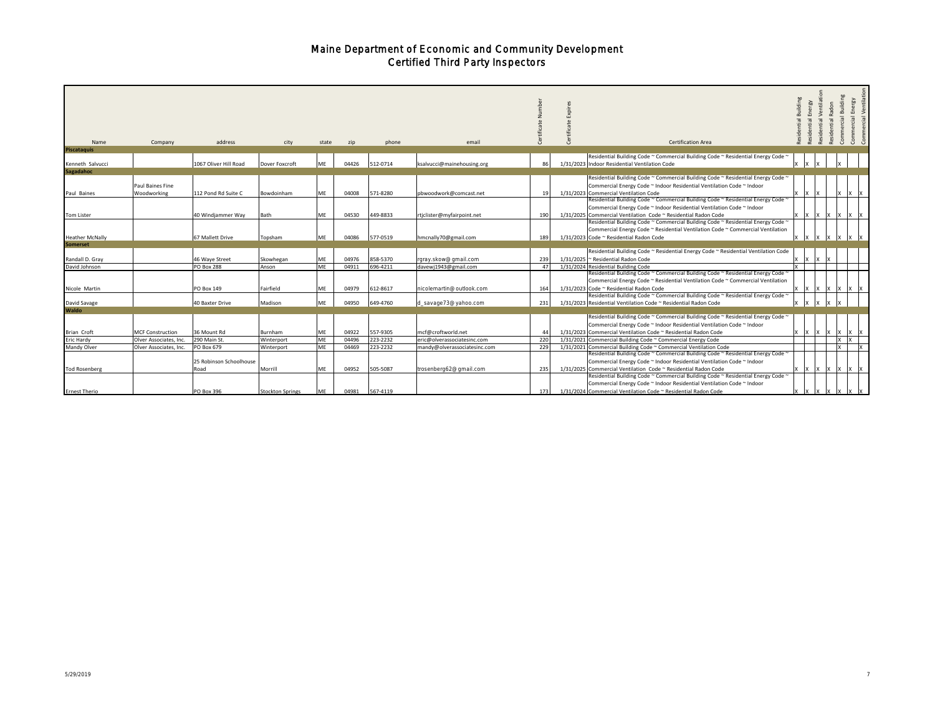| Name<br><b>Piscataquis</b>           | Company                         | address                         | city               | state     | zip            | phone                | email                                        |           | Certification Area                                                                                                                                                                                                          | ventilat<br>nergy<br>ential | ential | Building<br>mmercia | Energy<br>mercial |
|--------------------------------------|---------------------------------|---------------------------------|--------------------|-----------|----------------|----------------------|----------------------------------------------|-----------|-----------------------------------------------------------------------------------------------------------------------------------------------------------------------------------------------------------------------------|-----------------------------|--------|---------------------|-------------------|
|                                      |                                 |                                 |                    |           |                |                      |                                              | 86        | Residential Building Code ~ Commercial Building Code ~ Residential Energy Code                                                                                                                                              |                             |        |                     |                   |
| Kenneth Salvucci<br><b>Sagadahoc</b> |                                 | 1067 Oliver Hill Road           | Dover Foxcroft     | ME        | 04426          | 512-0714             | ksalvucci@mainehousing.org                   |           | 1/31/2023 Indoor Residential Ventilation Code                                                                                                                                                                               |                             |        |                     |                   |
| Paul Baines                          | Paul Baines Fine<br>Woodworking | 112 Pond Rd Suite C             | Bowdoinham         | ME        | 04008          | 571-8280             | pbwoodwork@comcast.net                       |           | Residential Building Code ~ Commercial Building Code ~ Residential Energy Code ~<br>Commercial Energy Code ~ Indoor Residential Ventilation Code ~ Indoor<br>1/31/2023 Commercial Ventilation Code                          |                             |        | l x                 |                   |
| <b>Tom Lister</b>                    |                                 | 40 Windjammer Way               | Bath               | ME        | 04530          | 449-8833             | rtjclister@myfairpoint.net                   | 190       | Residential Building Code ~ Commercial Building Code ~ Residential Energy Code ~<br>Commercial Energy Code ~ Indoor Residential Ventilation Code ~ Indoor<br>1/31/2025 Commercial Ventilation Code ~ Residential Radon Code |                             |        |                     | x x x x x x x     |
| <b>Heather McNally</b>               |                                 | 67 Mallett Drive                | Topsham            | <b>ME</b> | 04086          | 577-0519             | hmcnally70@gmail.com                         | 189       | Residential Building Code ~ Commercial Building Code ~ Residential Energy Code ~<br>Commercial Energy Code ~ Residential Ventilation Code ~ Commercial Ventilation<br>1/31/2023 Code ~ Residential Radon Code               |                             |        |                     |                   |
| <b>Somerset</b>                      |                                 |                                 |                    |           |                |                      |                                              |           |                                                                                                                                                                                                                             |                             |        |                     |                   |
|                                      |                                 |                                 |                    |           |                |                      |                                              |           | Residential Building Code ~ Residential Energy Code ~ Residential Ventilation Code                                                                                                                                          |                             |        |                     |                   |
| Randall D. Gray<br>David Johnson     |                                 | 46 Wave Street<br>PO Box 288    | Skowhegan<br>Anson | ME<br>ME  | 04976<br>04911 | 858-5370<br>696-4211 | rgray.skow@gmail.com<br>davewi1943@gmail.com | 239<br>47 | 1/31/2025 ~ Residential Radon Code<br>1/31/2024 Residential Building Code                                                                                                                                                   |                             |        |                     |                   |
| Nicole Martin                        |                                 | PO Box 149                      | Fairfield          | ME        | 04979          | 612-8617             | nicolemartin@outlook.com                     | 164       | Residential Building Code ~ Commercial Building Code ~ Residential Energy Code ~<br>Commercial Energy Code ~ Residential Ventilation Code ~ Commercial Ventilation<br>1/31/2023 Code ~ Residential Radon Code               |                             |        |                     | IX IX IX          |
| David Savage                         |                                 | 40 Baxter Drive                 | Madison            | ME        | 04950          | 649-4760             | d_savage73@yahoo.com                         | 231       | Residential Building Code ~ Commercial Building Code ~ Residential Energy Code ~<br>1/31/2023 Residential Ventilation Code ~ Residential Radon Code                                                                         |                             |        |                     |                   |
| Waldo                                |                                 |                                 |                    |           |                |                      |                                              |           |                                                                                                                                                                                                                             |                             |        |                     |                   |
| <b>Brian Croft</b>                   | <b>MCF Construction</b>         | 36 Mount Rd                     | Burnham            | ME        | 04922          | 557-9305             | mcf@croftworld.net                           | 44        | Residential Building Code ~ Commercial Building Code ~ Residential Energy Code *<br>Commercial Energy Code ~ Indoor Residential Ventilation Code ~ Indoor<br>1/31/2023 Commercial Ventilation Code ~ Residential Radon Code |                             |        |                     | $X$ $X$ $X$       |
| Eric Hardy                           | Olver Associates, Inc.          | 290 Main St.                    | Winterport         | ME        | 04496          | 223-2232             | eric@olverassociatesinc.com                  | 220       | 1/31/2021 Commercial Building Code ~ Commercial Energy Code                                                                                                                                                                 |                             |        | l x                 |                   |
| Mandy Olver                          | Olver Associates, Inc.          | PO Box 679                      | Winterport         | ME        | 04469          | 223-2232             | mandy@olverassociatesinc.com                 | 229       | 1/31/2021 Commercial Building Code ~ Commercial Ventilation Code                                                                                                                                                            |                             |        | lx.                 | 1x                |
| <b>Tod Rosenberg</b>                 |                                 | 25 Robinson Schoolhouse<br>Road | Morrill            | ME        | 04952          | 505-5087             | trosenberg62@gmail.com                       | 235       | Residential Building Code ~ Commercial Building Code ~ Residential Energy Code ~<br>Commercial Energy Code ~ Indoor Residential Ventilation Code ~ Indoor<br>1/31/2025 Commercial Ventilation Code ~ Residential Radon Code |                             |        |                     | Ix Ix Ix Ix Ix Ix |
| <b>Ernest Therio</b>                 |                                 | PO Box 396                      | Stockton Springs   | <b>ME</b> | 04981          | 567-4119             |                                              | 173       | Residential Building Code ~ Commercial Building Code ~ Residential Energy Code *<br>Commercial Energy Code ~ Indoor Residential Ventilation Code ~ Indoor<br>1/31/2024 Commercial Ventilation Code ~ Residential Radon Code |                             |        |                     |                   |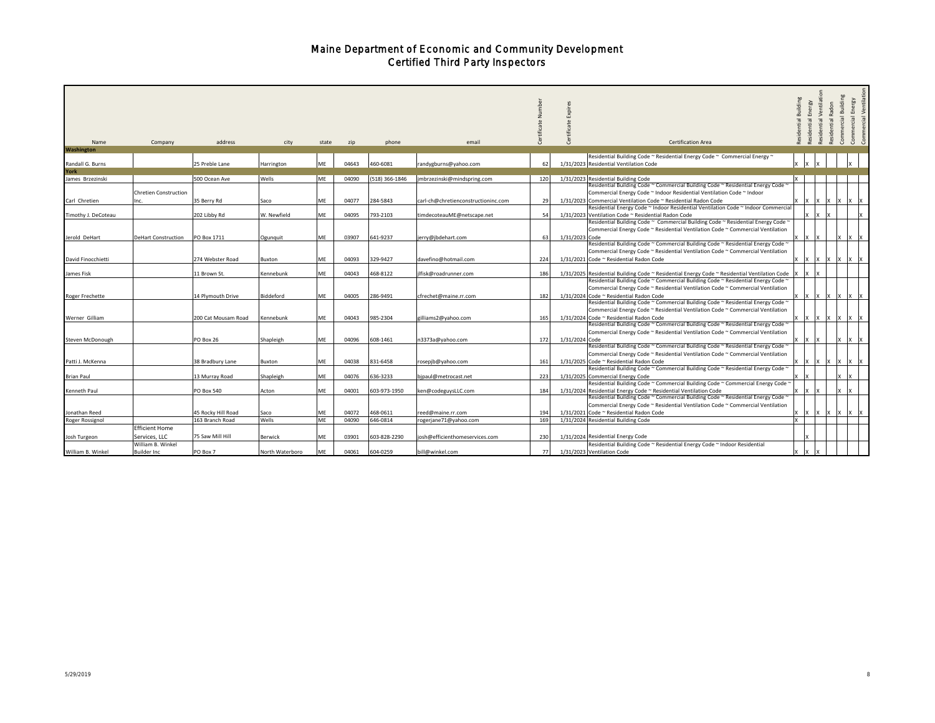| Name                | Company                                                     | address             | city            | state     | zip   | phone          | email                               |     |                | <b>Certification Area</b>                                                                                                                                                                                                                                                                         | Building | Energy<br>sidential | Ventilati<br>Radon<br>sidential | Building<br>cial<br>Commer | Energy                 | cial Ventilatio<br>ā |
|---------------------|-------------------------------------------------------------|---------------------|-----------------|-----------|-------|----------------|-------------------------------------|-----|----------------|---------------------------------------------------------------------------------------------------------------------------------------------------------------------------------------------------------------------------------------------------------------------------------------------------|----------|---------------------|---------------------------------|----------------------------|------------------------|----------------------|
| <b>Washington</b>   |                                                             |                     |                 |           |       |                |                                     |     |                | Residential Building Code ~ Residential Energy Code ~ Commercial Energy ~                                                                                                                                                                                                                         |          |                     |                                 |                            |                        |                      |
| Randall G. Burns    |                                                             | 25 Preble Lane      | Harrington      | ME        | 04643 | 460-6081       | randygburns@yahoo.com               | 62  |                | 1/31/2023 Residential Ventilation Code                                                                                                                                                                                                                                                            |          |                     |                                 |                            |                        |                      |
| York                |                                                             |                     |                 |           |       |                |                                     |     |                |                                                                                                                                                                                                                                                                                                   |          |                     |                                 |                            |                        |                      |
| James Brzezinski    |                                                             | 500 Ocean Ave       | Wells           | ME        | 04090 | (518) 366-1846 | jmbrzezinski@mindspring.com         | 120 |                | 1/31/2023 Residential Building Code                                                                                                                                                                                                                                                               |          |                     |                                 |                            |                        |                      |
| Carl Chretien       | <b>Chretien Construction</b><br>Inc.                        | 35 Berry Rd         | Saco            | ME        | 04077 | 284-5843       | carl-ch@chretienconstructioninc.com | 29  |                | Residential Building Code ~ Commercial Building Code ~ Residential Energy Code *<br>Commercial Energy Code ~ Indoor Residential Ventilation Code ~ Indoor<br>1/31/2023 Commercial Ventilation Code ~ Residential Radon Code                                                                       |          | Ιx                  | Ix.                             | 1x                         | <b>Ix</b>              | 1x                   |
|                     |                                                             |                     |                 |           |       |                |                                     |     |                | Residential Energy Code ~ Indoor Residential Ventilation Code ~ Indoor Commercial                                                                                                                                                                                                                 |          |                     |                                 |                            |                        |                      |
| Timothy J. DeCoteau |                                                             | 202 Libby Rd        | W. Newfield     | ME        | 04095 | 793-2103       | timdecoteauME@netscape.net          | 54  |                | 1/31/2023 Ventilation Code ~ Residential Radon Code                                                                                                                                                                                                                                               |          | Ιx                  | Iх                              |                            |                        |                      |
| Jerold DeHart       | <b>DeHart Construction</b>                                  | PO Box 1711         | Ogunquit        | ME        | 03907 | 641-9237       | jerry@jbdehart.com                  | 63  | 1/31/2023 Code | Residential Building Code ~ Commercial Building Code ~ Residential Energy Code ~<br>Commercial Energy Code ~ Residential Ventilation Code ~ Commercial Ventilation                                                                                                                                |          |                     |                                 |                            |                        | Ιx                   |
| David Finocchietti  |                                                             | 274 Webster Road    | Buxton          | ME        | 04093 | 329-9427       | davefino@hotmail.com                | 224 |                | Residential Building Code ~ Commercial Building Code ~ Residential Energy Code ~<br>Commercial Energy Code ~ Residential Ventilation Code ~ Commercial Ventilation<br>1/31/2021 Code ~ Residential Radon Code                                                                                     |          | IX                  | 1x                              | IX                         | IX                     | IX                   |
|                     |                                                             |                     |                 |           |       |                |                                     |     |                |                                                                                                                                                                                                                                                                                                   |          |                     |                                 |                            |                        |                      |
| James Fisk          |                                                             | 11 Brown St.        | Kennebunk       | ME        | 04043 | 468-8122       | ilfisk@roadrunner.com               | 186 |                | 1/31/2025 Residential Building Code ~ Residential Energy Code ~ Residential Ventilation Code<br>Residential Building Code ~ Commercial Building Code ~ Residential Energy Code ~<br>Commercial Energy Code ~ Residential Ventilation Code ~ Commercial Ventilation                                |          |                     |                                 |                            |                        |                      |
| Roger Frechette     |                                                             | 14 Plymouth Drive   | Biddeford       | ME        | 04005 | 286-9491       | cfrechet@maine.rr.com               | 182 |                | 1/31/2024 Code ~ Residential Radon Code                                                                                                                                                                                                                                                           |          | <b>Ix</b><br>1x     | Ix.                             | 1x                         | <b>Ix</b><br><b>IX</b> |                      |
| Werner Gilliam      |                                                             | 200 Cat Mousam Road | Kennebunk       | ME        | 04043 | 985-2304       | gilliams2@yahoo.com                 | 165 |                | Residential Building Code ~ Commercial Building Code ~ Residential Energy Code ~<br>Commercial Energy Code ~ Residential Ventilation Code ~ Commercial Ventilation<br>1/31/2024 Code ~ Residential Radon Code<br>Residential Building Code ~ Commercial Building Code ~ Residential Energy Code ~ |          |                     |                                 |                            |                        |                      |
| Steven McDonough    |                                                             | PO Box 26           | Shapleigh       | ME        | 04096 | 608-1461       | n3373a@yahoo.com                    | 172 | 1/31/2024 Code | Commercial Energy Code ~ Residential Ventilation Code ~ Commercial Ventilation<br>Residential Building Code ~ Commercial Building Code ~ Residential Energy Code ~                                                                                                                                |          |                     |                                 | ΙX                         | Ix<br>$\mathsf{I}$     |                      |
| Patti J. McKenna    |                                                             | 38 Bradbury Lane    | Buxton          | ME        | 04038 | 831-6458       | rosepjb@yahoo.com                   | 161 |                | Commercial Energy Code ~ Residential Ventilation Code ~ Commercial Ventilation<br>1/31/2025 Code ~ Residential Radon Code                                                                                                                                                                         |          |                     |                                 |                            |                        |                      |
| <b>Brian Paul</b>   |                                                             | 13 Murray Road      | Shapleigh       | ME        | 04076 | 636-3233       | bjpaul@metrocast.net                | 223 |                | Residential Building Code ~ Commercial Building Code ~ Residential Energy Code ~<br>1/31/2025 Commercial Energy Code<br>Residential Building Code ~ Commercial Building Code ~ Commercial Energy Code ~                                                                                           |          |                     |                                 |                            |                        |                      |
| Kenneth Paul        |                                                             | PO Box 540          | Acton           | ME        | 04001 | 603-973-1950   | ken@codeguysLLC.com                 | 184 |                | 1/31/2024 Residential Energy Code ~ Residential Ventilation Code                                                                                                                                                                                                                                  |          |                     |                                 | $\boldsymbol{\mathsf{x}}$  |                        |                      |
| Jonathan Reed       |                                                             | 45 Rocky Hill Road  | Saco            | ME        | 04072 | 468-0611       | reed@maine.rr.com                   | 194 |                | Residential Building Code ~ Commercial Building Code ~ Residential Energy Code ~<br>Commercial Energy Code ~ Residential Ventilation Code ~ Commercial Ventilation<br>1/31/2021 Code ~ Residential Radon Code                                                                                     | x        | 1X<br>$\mathsf{I}$  | IX.                             | 1x                         | IX                     |                      |
| Roger Rossignol     |                                                             | 163 Branch Road     | Wells           | МE        | 04090 | 646-0814       | rogerjane71@yahoo.com               | 169 |                | 1/31/2024 Residential Building Code                                                                                                                                                                                                                                                               |          |                     |                                 |                            |                        |                      |
| Josh Turgeon        | <b>Efficient Home</b><br>Services, LLC<br>William B. Winkel | 75 Saw Mill Hill    | Berwick         | МE        | 03901 | 603-828-2290   | josh@efficienthomeservices.com      | 230 |                | 1/31/2024 Residential Energy Code<br>Residential Building Code ~ Residential Energy Code ~ Indoor Residential                                                                                                                                                                                     |          |                     |                                 |                            |                        |                      |
| William B. Winkel   | <b>Builder Inc.</b>                                         | PO Box 7            | North Waterboro | <b>ME</b> | 04061 | 604-0259       | bill@winkel.com                     | 77  |                | 1/31/2023 Ventilation Code                                                                                                                                                                                                                                                                        |          |                     |                                 |                            |                        |                      |